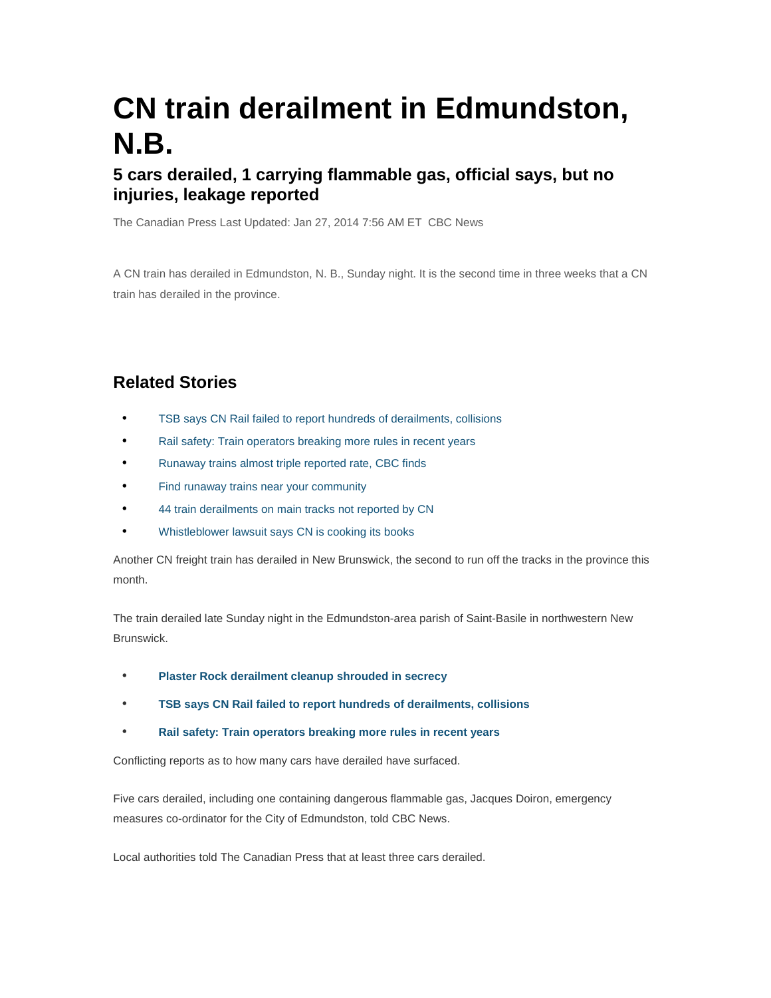# **CN train derailment in Edmundston, N.B.**

## **5 cars derailed, 1 carrying flammable gas, official says, but no injuries, leakage reported**

The Canadian Press Last Updated: Jan 27, 2014 7:56 AM ET CBC News

A CN train has derailed in Edmundston, N. B., Sunday night. It is the second time in three weeks that a CN train has derailed in the province.

## **Related Stories**

- TSB says CN Rail failed to report hundreds of derailments, collisions
- Rail safety: Train operators breaking more rules in recent years
- Runaway trains almost triple reported rate, CBC finds
- Find runaway trains near your community
- 44 train derailments on main tracks not reported by CN
- Whistleblower lawsuit says CN is cooking its books

Another CN freight train has derailed in New Brunswick, the second to run off the tracks in the province this month.

The train derailed late Sunday night in the Edmundston-area parish of Saint-Basile in northwestern New Brunswick.

- **Plaster Rock derailment cleanup shrouded in secrecy**
- **TSB says CN Rail failed to report hundreds of derailments, collisions**
- **Rail safety: Train operators breaking more rules in recent years**

Conflicting reports as to how many cars have derailed have surfaced.

Five cars derailed, including one containing dangerous flammable gas, Jacques Doiron, emergency measures co-ordinator for the City of Edmundston, told CBC News.

Local authorities told The Canadian Press that at least three cars derailed.